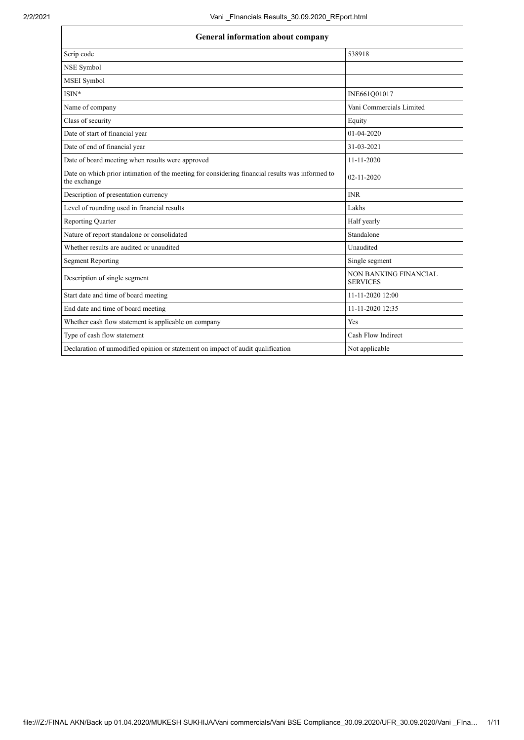| <b>General information about company</b>                                                                        |                                          |  |
|-----------------------------------------------------------------------------------------------------------------|------------------------------------------|--|
| Scrip code                                                                                                      | 538918                                   |  |
| NSE Symbol                                                                                                      |                                          |  |
| MSEI Symbol                                                                                                     |                                          |  |
| $ISIN*$                                                                                                         | INE661Q01017                             |  |
| Name of company                                                                                                 | Vani Commercials Limited                 |  |
| Class of security                                                                                               | Equity                                   |  |
| Date of start of financial year                                                                                 | 01-04-2020                               |  |
| Date of end of financial year                                                                                   | 31-03-2021                               |  |
| Date of board meeting when results were approved                                                                | $11 - 11 - 2020$                         |  |
| Date on which prior intimation of the meeting for considering financial results was informed to<br>the exchange | 02-11-2020                               |  |
| Description of presentation currency                                                                            | <b>INR</b>                               |  |
| Level of rounding used in financial results                                                                     | Lakhs                                    |  |
| <b>Reporting Quarter</b>                                                                                        | Half yearly                              |  |
| Nature of report standalone or consolidated                                                                     | Standalone                               |  |
| Whether results are audited or unaudited                                                                        | Unaudited                                |  |
| <b>Segment Reporting</b>                                                                                        | Single segment                           |  |
| Description of single segment                                                                                   | NON BANKING FINANCIAL<br><b>SERVICES</b> |  |
| Start date and time of board meeting                                                                            | 11-11-2020 12:00                         |  |
| End date and time of board meeting                                                                              | 11-11-2020 12:35                         |  |
| Whether cash flow statement is applicable on company                                                            | Yes                                      |  |
| Type of cash flow statement                                                                                     | Cash Flow Indirect                       |  |
| Declaration of unmodified opinion or statement on impact of audit qualification                                 | Not applicable                           |  |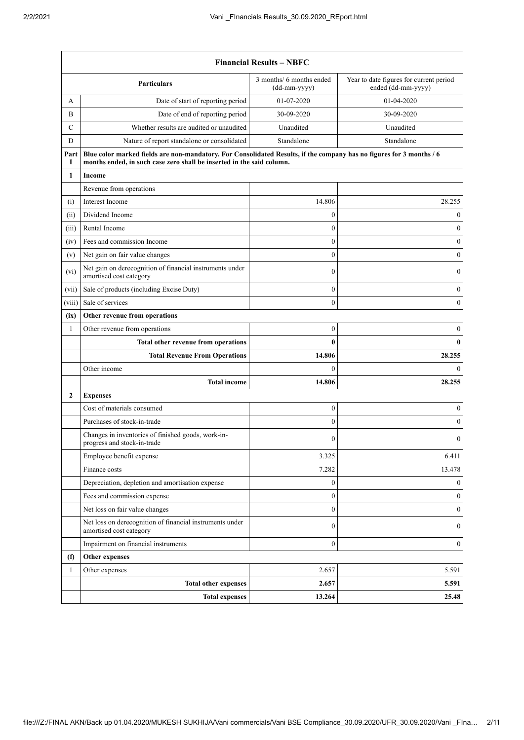|                | <b>Financial Results - NBFC</b>                                                                                                                                                               |                  |                  |  |
|----------------|-----------------------------------------------------------------------------------------------------------------------------------------------------------------------------------------------|------------------|------------------|--|
|                | Year to date figures for current period<br>3 months/ 6 months ended<br><b>Particulars</b><br>ended (dd-mm-yyyy)<br>(dd-mm-yyyy)                                                               |                  |                  |  |
| А              | Date of start of reporting period                                                                                                                                                             | 01-07-2020       | 01-04-2020       |  |
| B              | Date of end of reporting period                                                                                                                                                               | 30-09-2020       | 30-09-2020       |  |
| C              | Whether results are audited or unaudited                                                                                                                                                      | Unaudited        | Unaudited        |  |
| D              | Nature of report standalone or consolidated                                                                                                                                                   | Standalone       | Standalone       |  |
| Part<br>1      | Blue color marked fields are non-mandatory. For Consolidated Results, if the company has no figures for 3 months / 6<br>months ended, in such case zero shall be inserted in the said column. |                  |                  |  |
| 1              | Income                                                                                                                                                                                        |                  |                  |  |
|                | Revenue from operations                                                                                                                                                                       |                  |                  |  |
| (i)            | Interest Income                                                                                                                                                                               | 14.806           | 28.255           |  |
| (ii)           | Dividend Income                                                                                                                                                                               | $\boldsymbol{0}$ | $\boldsymbol{0}$ |  |
| (iii)          | Rental Income                                                                                                                                                                                 | $\overline{0}$   | $\boldsymbol{0}$ |  |
| (iv)           | Fees and commission Income                                                                                                                                                                    | $\boldsymbol{0}$ | $\boldsymbol{0}$ |  |
| (v)            | Net gain on fair value changes                                                                                                                                                                | $\boldsymbol{0}$ | $\boldsymbol{0}$ |  |
| (vi)           | Net gain on derecognition of financial instruments under<br>amortised cost category                                                                                                           | $\mathbf{0}$     | $\boldsymbol{0}$ |  |
| (vii)          | Sale of products (including Excise Duty)                                                                                                                                                      | $\boldsymbol{0}$ | $\boldsymbol{0}$ |  |
| (viii)         | Sale of services                                                                                                                                                                              | $\mathbf{0}$     | $\boldsymbol{0}$ |  |
| (ix)           | Other revenue from operations                                                                                                                                                                 |                  |                  |  |
| 1              | Other revenue from operations                                                                                                                                                                 | $\boldsymbol{0}$ | $\boldsymbol{0}$ |  |
|                | Total other revenue from operations                                                                                                                                                           | 0                | $\bf{0}$         |  |
|                | <b>Total Revenue From Operations</b>                                                                                                                                                          | 14.806           | 28.255           |  |
|                | Other income                                                                                                                                                                                  | $\mathbf{0}$     | $\mathbf{0}$     |  |
|                | <b>Total income</b>                                                                                                                                                                           | 14.806           | 28.255           |  |
| $\overline{2}$ | <b>Expenses</b>                                                                                                                                                                               |                  |                  |  |
|                | Cost of materials consumed                                                                                                                                                                    | $\boldsymbol{0}$ | 0                |  |
|                | Purchases of stock-in-trade                                                                                                                                                                   | $\overline{0}$   | 0                |  |
|                | Changes in inventories of finished goods, work-in-<br>progress and stock-in-trade                                                                                                             | 0                | $\mathbf{0}$     |  |
|                | Employee benefit expense                                                                                                                                                                      | 3.325            | 6.411            |  |
|                | Finance costs                                                                                                                                                                                 | 7.282            | 13.478           |  |
|                | Depreciation, depletion and amortisation expense                                                                                                                                              | $\boldsymbol{0}$ | $\overline{0}$   |  |
|                | Fees and commission expense                                                                                                                                                                   | $\boldsymbol{0}$ | $\boldsymbol{0}$ |  |
|                | Net loss on fair value changes                                                                                                                                                                | $\boldsymbol{0}$ | $\boldsymbol{0}$ |  |
|                | Net loss on derecognition of financial instruments under<br>amortised cost category                                                                                                           | $\overline{0}$   | $\boldsymbol{0}$ |  |
|                | Impairment on financial instruments                                                                                                                                                           | $\boldsymbol{0}$ | $\boldsymbol{0}$ |  |
| (f)            | Other expenses                                                                                                                                                                                |                  |                  |  |
| 1              | Other expenses                                                                                                                                                                                | 2.657            | 5.591            |  |
|                | <b>Total other expenses</b>                                                                                                                                                                   | 2.657            | 5.591            |  |
|                | <b>Total expenses</b>                                                                                                                                                                         | 13.264           | 25.48            |  |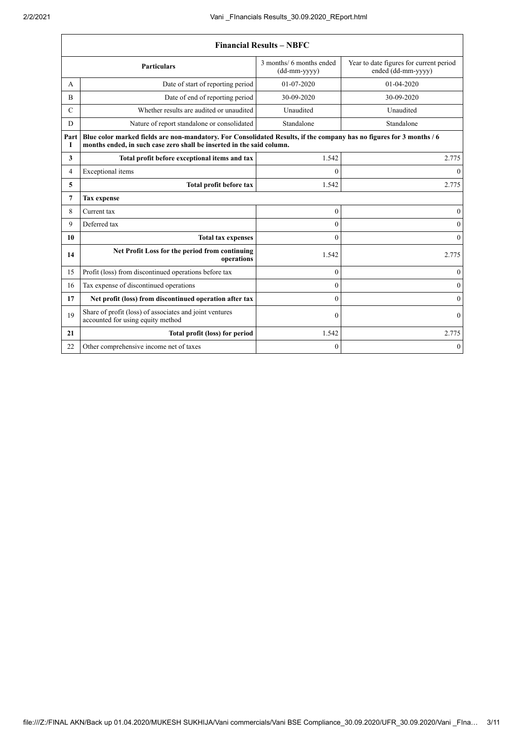$\Gamma$ 

٦

| <b>Financial Results - NBFC</b>                                                                                                   |                                                                                                                                                                                               |                  |              |  |
|-----------------------------------------------------------------------------------------------------------------------------------|-----------------------------------------------------------------------------------------------------------------------------------------------------------------------------------------------|------------------|--------------|--|
| 3 months/ 6 months ended<br>Year to date figures for current period<br><b>Particulars</b><br>ended (dd-mm-yyyy)<br>$(dd-mm-yyyy)$ |                                                                                                                                                                                               |                  |              |  |
| A                                                                                                                                 | Date of start of reporting period                                                                                                                                                             | 01-07-2020       | 01-04-2020   |  |
| B                                                                                                                                 | Date of end of reporting period                                                                                                                                                               | 30-09-2020       | 30-09-2020   |  |
| $\mathcal{C}$                                                                                                                     | Whether results are audited or unaudited                                                                                                                                                      | Unaudited        | Unaudited    |  |
| $\overline{D}$                                                                                                                    | Nature of report standalone or consolidated                                                                                                                                                   | Standalone       | Standalone   |  |
| Part<br>1                                                                                                                         | Blue color marked fields are non-mandatory. For Consolidated Results, if the company has no figures for 3 months / 6<br>months ended, in such case zero shall be inserted in the said column. |                  |              |  |
| 3                                                                                                                                 | Total profit before exceptional items and tax                                                                                                                                                 | 1.542            | 2.775        |  |
| 4                                                                                                                                 | Exceptional items                                                                                                                                                                             | $\Omega$         | $\Omega$     |  |
| 5                                                                                                                                 | <b>Total profit before tax</b>                                                                                                                                                                | 1.542            | 2.775        |  |
| 7                                                                                                                                 | <b>Tax expense</b>                                                                                                                                                                            |                  |              |  |
| 8                                                                                                                                 | Current tax                                                                                                                                                                                   | $\mathbf{0}$     | $\theta$     |  |
| 9                                                                                                                                 | Deferred tax                                                                                                                                                                                  | $\overline{0}$   |              |  |
| 10                                                                                                                                | <b>Total tax expenses</b>                                                                                                                                                                     | $\Omega$         |              |  |
| 14                                                                                                                                | Net Profit Loss for the period from continuing<br>operations                                                                                                                                  | 1.542            | 2.775        |  |
| 15                                                                                                                                | Profit (loss) from discontinued operations before tax                                                                                                                                         | $\mathbf{0}$     | $\theta$     |  |
| 16                                                                                                                                | Tax expense of discontinued operations                                                                                                                                                        | $\theta$         | $\theta$     |  |
| 17                                                                                                                                | Net profit (loss) from discontinued operation after tax                                                                                                                                       | $\Omega$         | $\mathbf{0}$ |  |
| 19                                                                                                                                | Share of profit (loss) of associates and joint ventures<br>accounted for using equity method                                                                                                  | $\boldsymbol{0}$ | $\mathbf{0}$ |  |
| 21                                                                                                                                | Total profit (loss) for period                                                                                                                                                                | 1.542            | 2.775        |  |
| 22                                                                                                                                | Other comprehensive income net of taxes                                                                                                                                                       | $\overline{0}$   | $\mathbf{0}$ |  |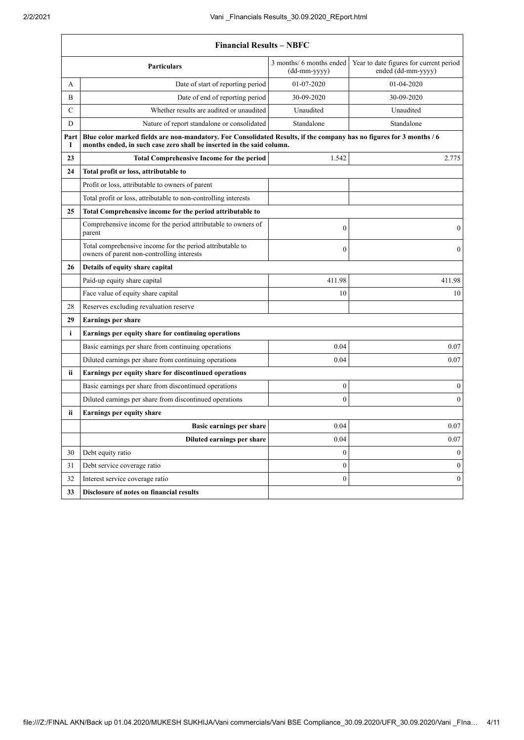$\Gamma$ 

٦

|             | <b>Financial Results - NBFC</b>                                                                                                                                                               |                  |                  |  |  |
|-------------|-----------------------------------------------------------------------------------------------------------------------------------------------------------------------------------------------|------------------|------------------|--|--|
|             | 3 months/ 6 months ended<br>Year to date figures for current period<br><b>Particulars</b><br>ended (dd-mm-yyyy)<br>(dd-mm-yyyy)                                                               |                  |                  |  |  |
| A           | Date of start of reporting period                                                                                                                                                             | 01-07-2020       | 01-04-2020       |  |  |
| B           | Date of end of reporting period                                                                                                                                                               | 30-09-2020       | 30-09-2020       |  |  |
| $\mathbf C$ | Whether results are audited or unaudited                                                                                                                                                      | Unaudited        | Unaudited        |  |  |
| D           | Nature of report standalone or consolidated                                                                                                                                                   | Standalone       | Standalone       |  |  |
| Part<br>1   | Blue color marked fields are non-mandatory. For Consolidated Results, if the company has no figures for 3 months / 6<br>months ended, in such case zero shall be inserted in the said column. |                  |                  |  |  |
| 23          | <b>Total Comprehensive Income for the period</b>                                                                                                                                              | 1.542            | 2.775            |  |  |
| 24          | Total profit or loss, attributable to                                                                                                                                                         |                  |                  |  |  |
|             | Profit or loss, attributable to owners of parent                                                                                                                                              |                  |                  |  |  |
|             | Total profit or loss, attributable to non-controlling interests                                                                                                                               |                  |                  |  |  |
| 25          | Total Comprehensive income for the period attributable to                                                                                                                                     |                  |                  |  |  |
|             | Comprehensive income for the period attributable to owners of<br>parent                                                                                                                       | $\mathbf{0}$     | $\boldsymbol{0}$ |  |  |
|             | Total comprehensive income for the period attributable to<br>owners of parent non-controlling interests                                                                                       | $\mathbf{0}$     | $\boldsymbol{0}$ |  |  |
| 26          | Details of equity share capital                                                                                                                                                               |                  |                  |  |  |
|             | Paid-up equity share capital                                                                                                                                                                  | 411.98           | 411.98           |  |  |
|             | Face value of equity share capital                                                                                                                                                            | 10               | 10               |  |  |
| 28          | Reserves excluding revaluation reserve                                                                                                                                                        |                  |                  |  |  |
| 29          | <b>Earnings per share</b>                                                                                                                                                                     |                  |                  |  |  |
| i           | Earnings per equity share for continuing operations                                                                                                                                           |                  |                  |  |  |
|             | Basic earnings per share from continuing operations                                                                                                                                           | 0.04             | 0.07             |  |  |
|             | Diluted earnings per share from continuing operations                                                                                                                                         | 0.04             | 0.07             |  |  |
| ii.         | Earnings per equity share for discontinued operations                                                                                                                                         |                  |                  |  |  |
|             | Basic earnings per share from discontinued operations                                                                                                                                         | $\boldsymbol{0}$ | $\boldsymbol{0}$ |  |  |
|             | Diluted earnings per share from discontinued operations                                                                                                                                       | $\mathbf{0}$     | $\mathbf{0}$     |  |  |
| ii          | <b>Earnings per equity share</b>                                                                                                                                                              |                  |                  |  |  |
|             | Basic earnings per share                                                                                                                                                                      | 0.04             | 0.07             |  |  |
|             | Diluted earnings per share                                                                                                                                                                    | 0.04             | 0.07             |  |  |
| 30          | Debt equity ratio                                                                                                                                                                             | $\mathbf{0}$     | $\mathbf{0}$     |  |  |
| 31          | Debt service coverage ratio                                                                                                                                                                   | $\boldsymbol{0}$ | $\boldsymbol{0}$ |  |  |
| 32          | Interest service coverage ratio                                                                                                                                                               | $\boldsymbol{0}$ | $\boldsymbol{0}$ |  |  |
| 33          | Disclosure of notes on financial results                                                                                                                                                      |                  |                  |  |  |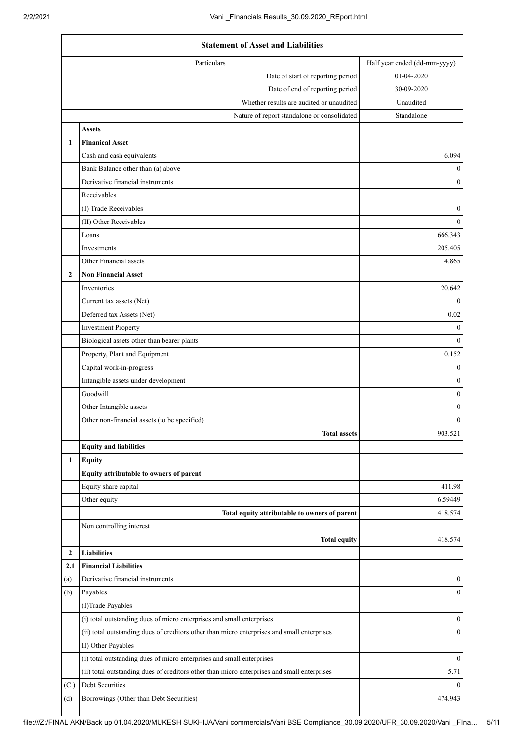|              | <b>Statement of Asset and Liabilities</b>                                                   |                              |  |
|--------------|---------------------------------------------------------------------------------------------|------------------------------|--|
|              | Particulars                                                                                 | Half year ended (dd-mm-yyyy) |  |
|              | Date of start of reporting period                                                           | 01-04-2020                   |  |
|              | Date of end of reporting period                                                             | 30-09-2020                   |  |
|              | Whether results are audited or unaudited                                                    | Unaudited                    |  |
|              | Nature of report standalone or consolidated                                                 | Standalone                   |  |
|              | <b>Assets</b>                                                                               |                              |  |
| 1            | <b>Finanical Asset</b>                                                                      |                              |  |
|              | Cash and cash equivalents                                                                   | 6.094                        |  |
|              | Bank Balance other than (a) above                                                           | $\mathbf{0}$                 |  |
|              | Derivative financial instruments                                                            | $\mathbf{0}$                 |  |
|              | Receivables                                                                                 |                              |  |
|              | (I) Trade Receivables                                                                       | $\boldsymbol{0}$             |  |
|              | (II) Other Receivables                                                                      | $\mathbf{0}$                 |  |
|              | Loans                                                                                       | 666.343                      |  |
|              | <b>Investments</b>                                                                          | 205.405                      |  |
|              | Other Financial assets                                                                      | 4.865                        |  |
| $\mathbf{2}$ | <b>Non Financial Asset</b>                                                                  |                              |  |
|              | Inventories                                                                                 | 20.642                       |  |
|              | Current tax assets (Net)                                                                    | $\mathbf{0}$                 |  |
|              | Deferred tax Assets (Net)                                                                   | 0.02                         |  |
|              | <b>Investment Property</b>                                                                  | $\boldsymbol{0}$             |  |
|              | Biological assets other than bearer plants                                                  | $\mathbf{0}$                 |  |
|              | Property, Plant and Equipment                                                               | 0.152                        |  |
|              | Capital work-in-progress                                                                    | $\mathbf{0}$                 |  |
|              | Intangible assets under development                                                         | $\mathbf{0}$                 |  |
|              | Goodwill                                                                                    | $\boldsymbol{0}$             |  |
|              | Other Intangible assets                                                                     | $\boldsymbol{0}$             |  |
|              | Other non-financial assets (to be specified)                                                | $\mathbf{0}$                 |  |
|              | <b>Total assets</b>                                                                         | 903.521                      |  |
|              | <b>Equity and liabilities</b>                                                               |                              |  |
| 1            |                                                                                             |                              |  |
|              | <b>Equity</b><br>Equity attributable to owners of parent                                    |                              |  |
|              | Equity share capital                                                                        | 411.98                       |  |
|              |                                                                                             | 6.59449                      |  |
|              | Other equity                                                                                |                              |  |
|              | Total equity attributable to owners of parent                                               | 418.574                      |  |
|              | Non controlling interest                                                                    |                              |  |
|              | <b>Total equity</b>                                                                         | 418.574                      |  |
| 2            | <b>Liabilities</b>                                                                          |                              |  |
| 2.1          | <b>Financial Liabilities</b>                                                                |                              |  |
| (a)          | Derivative financial instruments                                                            | $\mathbf{0}$                 |  |
| (b)          | Payables                                                                                    | $\mathbf{0}$                 |  |
|              | (I)Trade Payables                                                                           |                              |  |
|              | (i) total outstanding dues of micro enterprises and small enterprises                       | $\boldsymbol{0}$             |  |
|              | (ii) total outstanding dues of creditors other than micro enterprises and small enterprises | $\boldsymbol{0}$             |  |
|              | II) Other Payables                                                                          |                              |  |
|              | (i) total outstanding dues of micro enterprises and small enterprises                       | $\theta$                     |  |
|              | (ii) total outstanding dues of creditors other than micro enterprises and small enterprises | 5.71                         |  |
| (C)          | Debt Securities                                                                             | $\theta$                     |  |
| (d)          | Borrowings (Other than Debt Securities)                                                     | 474.943                      |  |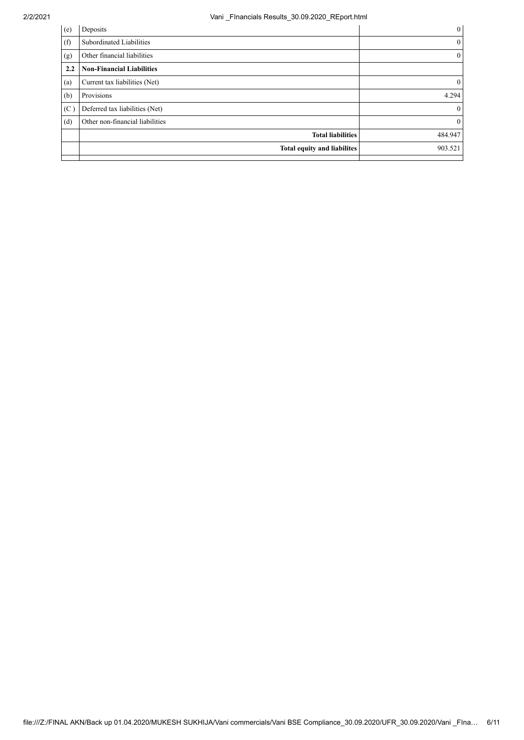## 2/2/2021 Vani \_FInancials Results\_30.09.2020\_REport.html

| (e) | Deposits                         | $\mathbf{0}$ |
|-----|----------------------------------|--------------|
| (f) | Subordinated Liabilities         | $\mathbf{0}$ |
| (g) | Other financial liabilities      | $\mathbf{0}$ |
| 2.2 | <b>Non-Financial Liabilities</b> |              |
| (a) | Current tax liabilities (Net)    | $\mathbf{0}$ |
| (b) | Provisions                       | 4.294        |
| (C) | Deferred tax liabilities (Net)   | $\mathbf{0}$ |
| (d) | Other non-financial liabilities  | $\mathbf{0}$ |
|     | <b>Total liabilities</b>         | 484.947      |
|     | Total equity and liabilites      | 903.521      |
|     |                                  |              |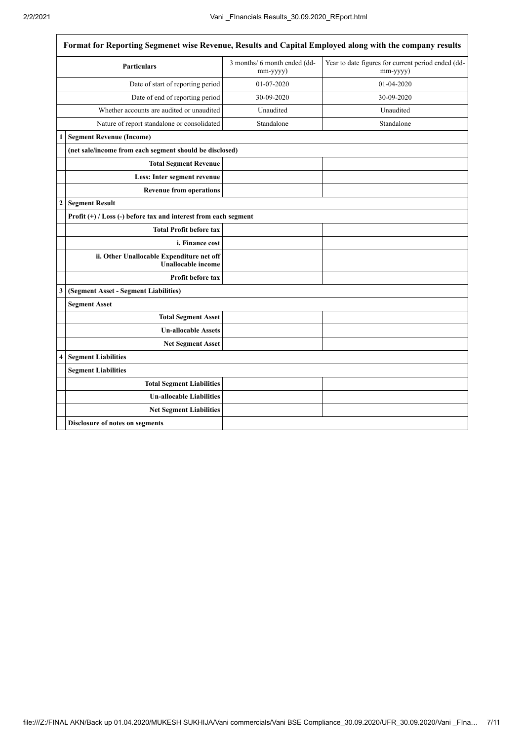$\overline{\Gamma}$ 

٦

| Format for Reporting Segmenet wise Revenue, Results and Capital Employed along with the company results |                                          |                                                                                                                              |  |  |
|---------------------------------------------------------------------------------------------------------|------------------------------------------|------------------------------------------------------------------------------------------------------------------------------|--|--|
| <b>Particulars</b>                                                                                      | 3 months/ 6 month ended (dd-<br>mm-yyyy) | Year to date figures for current period ended (dd-<br>mm-yyyy)                                                               |  |  |
| Date of start of reporting period                                                                       | 01-07-2020                               | 01-04-2020                                                                                                                   |  |  |
| Date of end of reporting period                                                                         | 30-09-2020                               | 30-09-2020                                                                                                                   |  |  |
| Whether accounts are audited or unaudited                                                               | Unaudited                                | Unaudited                                                                                                                    |  |  |
| Nature of report standalone or consolidated                                                             | Standalone                               | Standalone                                                                                                                   |  |  |
|                                                                                                         |                                          |                                                                                                                              |  |  |
|                                                                                                         |                                          |                                                                                                                              |  |  |
| <b>Total Segment Revenue</b>                                                                            |                                          |                                                                                                                              |  |  |
| Less: Inter segment revenue                                                                             |                                          |                                                                                                                              |  |  |
| <b>Revenue from operations</b>                                                                          |                                          |                                                                                                                              |  |  |
| <b>Segment Result</b>                                                                                   |                                          |                                                                                                                              |  |  |
|                                                                                                         |                                          |                                                                                                                              |  |  |
| <b>Total Profit before tax</b>                                                                          |                                          |                                                                                                                              |  |  |
| i. Finance cost                                                                                         |                                          |                                                                                                                              |  |  |
| ii. Other Unallocable Expenditure net off<br><b>Unallocable income</b>                                  |                                          |                                                                                                                              |  |  |
| Profit before tax                                                                                       |                                          |                                                                                                                              |  |  |
| (Segment Asset - Segment Liabilities)                                                                   |                                          |                                                                                                                              |  |  |
| <b>Segment Asset</b>                                                                                    |                                          |                                                                                                                              |  |  |
| <b>Total Segment Asset</b>                                                                              |                                          |                                                                                                                              |  |  |
| <b>Un-allocable Assets</b>                                                                              |                                          |                                                                                                                              |  |  |
| Net Segment Asset                                                                                       |                                          |                                                                                                                              |  |  |
| <b>Segment Liabilities</b>                                                                              |                                          |                                                                                                                              |  |  |
| <b>Segment Liabilities</b>                                                                              |                                          |                                                                                                                              |  |  |
| <b>Total Segment Liabilities</b>                                                                        |                                          |                                                                                                                              |  |  |
| <b>Un-allocable Liabilities</b>                                                                         |                                          |                                                                                                                              |  |  |
| <b>Net Segment Liabilities</b>                                                                          |                                          |                                                                                                                              |  |  |
| <b>Disclosure of notes on segments</b>                                                                  |                                          |                                                                                                                              |  |  |
|                                                                                                         | 1   Segment Revenue (Income)             | (net sale/income from each segment should be disclosed)<br>Profit $(+)$ / Loss (-) before tax and interest from each segment |  |  |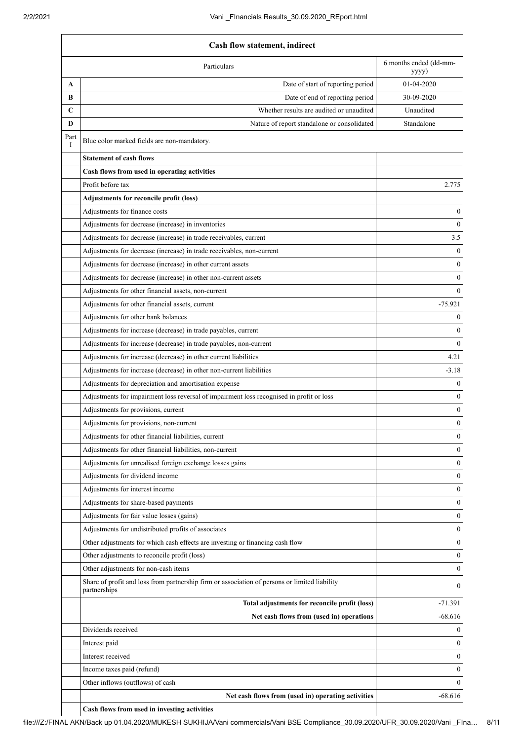|            | Cash flow statement, indirect                                                                                 |                  |  |
|------------|---------------------------------------------------------------------------------------------------------------|------------------|--|
|            | 6 months ended (dd-mm-<br>Particulars<br>yyyy)                                                                |                  |  |
| A          | Date of start of reporting period                                                                             | 01-04-2020       |  |
| B          | Date of end of reporting period                                                                               | 30-09-2020       |  |
| C          | Whether results are audited or unaudited                                                                      | Unaudited        |  |
| D          | Nature of report standalone or consolidated                                                                   | Standalone       |  |
| Part<br>Ι. | Blue color marked fields are non-mandatory.                                                                   |                  |  |
|            | <b>Statement of cash flows</b>                                                                                |                  |  |
|            | Cash flows from used in operating activities                                                                  |                  |  |
|            | Profit before tax                                                                                             | 2.775            |  |
|            | Adjustments for reconcile profit (loss)                                                                       |                  |  |
|            | Adjustments for finance costs                                                                                 | $\mathbf{0}$     |  |
|            | Adjustments for decrease (increase) in inventories                                                            | $\theta$         |  |
|            | Adjustments for decrease (increase) in trade receivables, current                                             | 3.5              |  |
|            | Adjustments for decrease (increase) in trade receivables, non-current                                         | $\theta$         |  |
|            | Adjustments for decrease (increase) in other current assets                                                   | $\mathbf{0}$     |  |
|            | Adjustments for decrease (increase) in other non-current assets                                               | $\theta$         |  |
|            | Adjustments for other financial assets, non-current                                                           | $\theta$         |  |
|            | Adjustments for other financial assets, current                                                               | $-75.921$        |  |
|            | Adjustments for other bank balances                                                                           | $\theta$         |  |
|            | Adjustments for increase (decrease) in trade payables, current                                                | $\mathbf{0}$     |  |
|            | Adjustments for increase (decrease) in trade payables, non-current                                            | $\theta$         |  |
|            | Adjustments for increase (decrease) in other current liabilities                                              | 4.21             |  |
|            | Adjustments for increase (decrease) in other non-current liabilities                                          | $-3.18$          |  |
|            | Adjustments for depreciation and amortisation expense                                                         | $\theta$         |  |
|            | Adjustments for impairment loss reversal of impairment loss recognised in profit or loss                      | $\mathbf{0}$     |  |
|            | Adjustments for provisions, current                                                                           | $\theta$         |  |
|            | Adjustments for provisions, non-current                                                                       | $\boldsymbol{0}$ |  |
|            | Adjustments for other financial liabilities, current                                                          | $\boldsymbol{0}$ |  |
|            | Adjustments for other financial liabilities, non-current                                                      | $\Omega$         |  |
|            | Adjustments for unrealised foreign exchange losses gains                                                      | $\mathbf{0}$     |  |
|            | Adjustments for dividend income                                                                               | $\theta$         |  |
|            | Adjustments for interest income                                                                               | $\mathbf{0}$     |  |
|            | Adjustments for share-based payments                                                                          | $\mathbf{0}$     |  |
|            | Adjustments for fair value losses (gains)                                                                     | $\mathbf{0}$     |  |
|            | Adjustments for undistributed profits of associates                                                           | $\mathbf{0}$     |  |
|            | Other adjustments for which cash effects are investing or financing cash flow                                 | $\mathbf{0}$     |  |
|            | Other adjustments to reconcile profit (loss)                                                                  | $\theta$         |  |
|            | Other adjustments for non-cash items                                                                          | $\mathbf{0}$     |  |
|            | Share of profit and loss from partnership firm or association of persons or limited liability<br>partnerships | $\theta$         |  |
|            | Total adjustments for reconcile profit (loss)                                                                 | $-71.391$        |  |
|            | Net cash flows from (used in) operations                                                                      | $-68.616$        |  |
|            | Dividends received                                                                                            | $\theta$         |  |
|            | Interest paid                                                                                                 | $\theta$         |  |
|            | Interest received                                                                                             | $\theta$         |  |
|            | Income taxes paid (refund)                                                                                    | $\theta$         |  |
|            | Other inflows (outflows) of cash                                                                              | $\Omega$         |  |
|            | Net cash flows from (used in) operating activities                                                            | $-68.616$        |  |

**Cash flows from used in investing activities**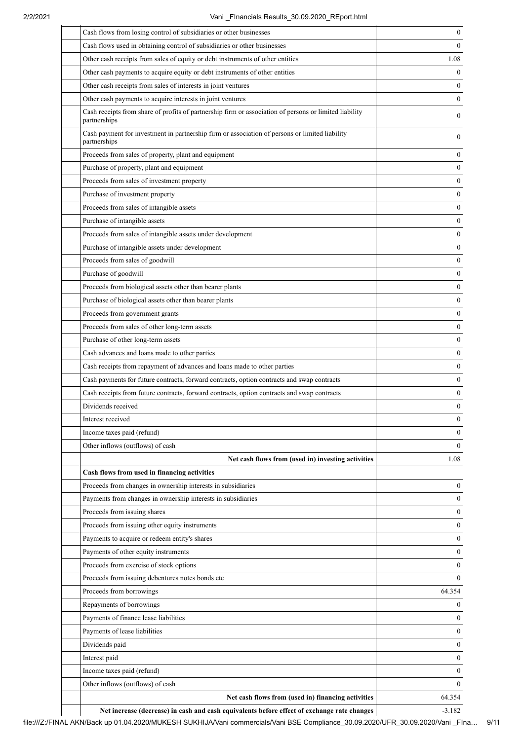| Cash flows from losing control of subsidiaries or other businesses                                                     | $\boldsymbol{0}$ |
|------------------------------------------------------------------------------------------------------------------------|------------------|
| Cash flows used in obtaining control of subsidiaries or other businesses                                               | $\theta$         |
| Other cash receipts from sales of equity or debt instruments of other entities                                         | 1.08             |
| Other cash payments to acquire equity or debt instruments of other entities                                            | $\theta$         |
| Other cash receipts from sales of interests in joint ventures                                                          | $\mathbf{0}$     |
| Other cash payments to acquire interests in joint ventures                                                             | $\mathbf{0}$     |
| Cash receipts from share of profits of partnership firm or association of persons or limited liability<br>partnerships | $\boldsymbol{0}$ |
| Cash payment for investment in partnership firm or association of persons or limited liability<br>partnerships         | $\boldsymbol{0}$ |
| Proceeds from sales of property, plant and equipment                                                                   | $\boldsymbol{0}$ |
| Purchase of property, plant and equipment                                                                              | $\boldsymbol{0}$ |
| Proceeds from sales of investment property                                                                             | $\boldsymbol{0}$ |
| Purchase of investment property                                                                                        | $\mathbf{0}$     |
| Proceeds from sales of intangible assets                                                                               | $\boldsymbol{0}$ |
| Purchase of intangible assets                                                                                          | $\mathbf{0}$     |
| Proceeds from sales of intangible assets under development                                                             | $\boldsymbol{0}$ |
| Purchase of intangible assets under development                                                                        | $\mathbf{0}$     |
| Proceeds from sales of goodwill                                                                                        | $\boldsymbol{0}$ |
| Purchase of goodwill                                                                                                   | $\boldsymbol{0}$ |
| Proceeds from biological assets other than bearer plants                                                               | $\boldsymbol{0}$ |
| Purchase of biological assets other than bearer plants                                                                 | $\mathbf{0}$     |
| Proceeds from government grants                                                                                        | $\mathbf{0}$     |
| Proceeds from sales of other long-term assets                                                                          | $\boldsymbol{0}$ |
| Purchase of other long-term assets                                                                                     | $\boldsymbol{0}$ |
| Cash advances and loans made to other parties                                                                          | $\mathbf{0}$     |
| Cash receipts from repayment of advances and loans made to other parties                                               | $\boldsymbol{0}$ |
| Cash payments for future contracts, forward contracts, option contracts and swap contracts                             | $\mathbf{0}$     |
| Cash receipts from future contracts, forward contracts, option contracts and swap contracts                            | $\mathbf{0}$     |
| Dividends received                                                                                                     | $\mathbf{0}$     |
| Interest received                                                                                                      | 0                |
| Income taxes paid (refund)                                                                                             | $\mathbf{0}$     |
| Other inflows (outflows) of cash                                                                                       | $\theta$         |
| Net cash flows from (used in) investing activities                                                                     | 1.08             |
| Cash flows from used in financing activities                                                                           |                  |
| Proceeds from changes in ownership interests in subsidiaries                                                           | $\mathbf{0}$     |
| Payments from changes in ownership interests in subsidiaries                                                           | $\theta$         |
| Proceeds from issuing shares                                                                                           | $\mathbf{0}$     |
| Proceeds from issuing other equity instruments                                                                         | $\mathbf{0}$     |
| Payments to acquire or redeem entity's shares                                                                          | $\mathbf{0}$     |
| Payments of other equity instruments                                                                                   | $\mathbf{0}$     |
| Proceeds from exercise of stock options                                                                                | $\mathbf{0}$     |
| Proceeds from issuing debentures notes bonds etc                                                                       | $\theta$         |
| Proceeds from borrowings                                                                                               | 64.354           |
| Repayments of borrowings                                                                                               | $\theta$         |
| Payments of finance lease liabilities                                                                                  | $\mathbf{0}$     |
| Payments of lease liabilities                                                                                          | $\mathbf{0}$     |
| Dividends paid                                                                                                         | $\mathbf{0}$     |
| Interest paid                                                                                                          | $\mathbf{0}$     |
| Income taxes paid (refund)                                                                                             | $\mathbf{0}$     |
| Other inflows (outflows) of cash                                                                                       | $\theta$         |
| Net cash flows from (used in) financing activities                                                                     | 64.354           |
|                                                                                                                        |                  |

Net increase (decrease) in cash and cash equivalents before effect of exchange rate changes **-3.182**